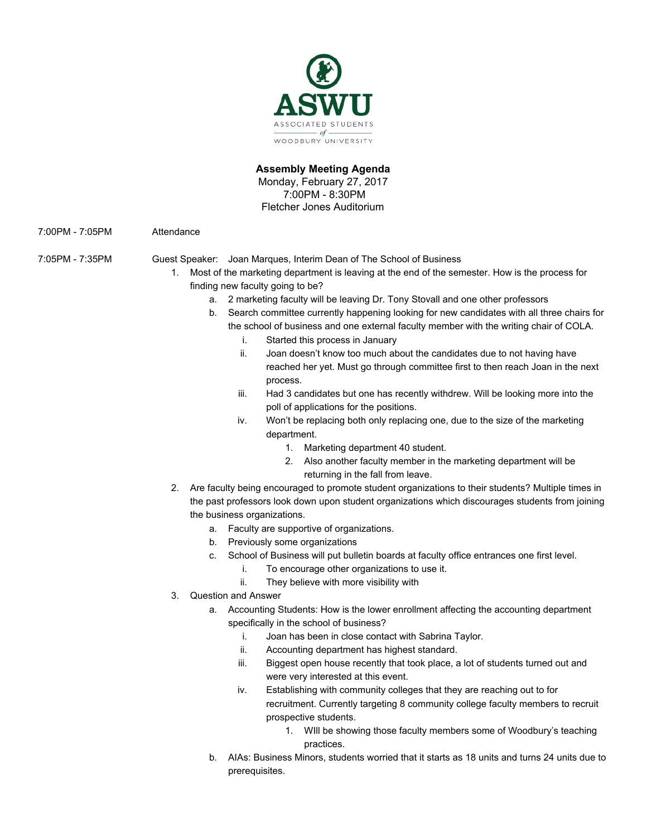

# **Assembly Meeting Agenda**

Monday, February 27, 2017 7:00PM - 8:30PM Fletcher Jones Auditorium

7:00PM - 7:05PM Attendance

7:05PM - 7:35PM Guest Speaker: Joan Marques, Interim Dean of The School of Business

- 1. Most of the marketing department is leaving at the end of the semester. How is the process for finding new faculty going to be?
	- a. 2 marketing faculty will be leaving Dr. Tony Stovall and one other professors
	- b. Search committee currently happening looking for new candidates with all three chairs for the school of business and one external faculty member with the writing chair of COLA.
		- i. Started this process in January
		- ii. Joan doesn't know too much about the candidates due to not having have reached her yet. Must go through committee first to then reach Joan in the next process.
		- iii. Had 3 candidates but one has recently withdrew. Will be looking more into the poll of applications for the positions.
		- iv. Won't be replacing both only replacing one, due to the size of the marketing department.
			- 1. Marketing department 40 student.
			- 2. Also another faculty member in the marketing department will be returning in the fall from leave.
- 2. Are faculty being encouraged to promote student organizations to their students? Multiple times in the past professors look down upon student organizations which discourages students from joining the business organizations.
	- a. Faculty are supportive of organizations.
	- b. Previously some organizations
	- c. School of Business will put bulletin boards at faculty office entrances one first level.
		- i. To encourage other organizations to use it.
		- ii. They believe with more visibility with
- 3. Question and Answer
	- a. Accounting Students: How is the lower enrollment affecting the accounting department specifically in the school of business?
		- i. Joan has been in close contact with Sabrina Taylor.
		- ii. Accounting department has highest standard.
		- iii. Biggest open house recently that took place, a lot of students turned out and were very interested at this event.
		- iv. Establishing with community colleges that they are reaching out to for recruitment. Currently targeting 8 community college faculty members to recruit prospective students.
			- 1. WIll be showing those faculty members some of Woodbury's teaching practices.
	- b. AIAs: Business Minors, students worried that it starts as 18 units and turns 24 units due to prerequisites.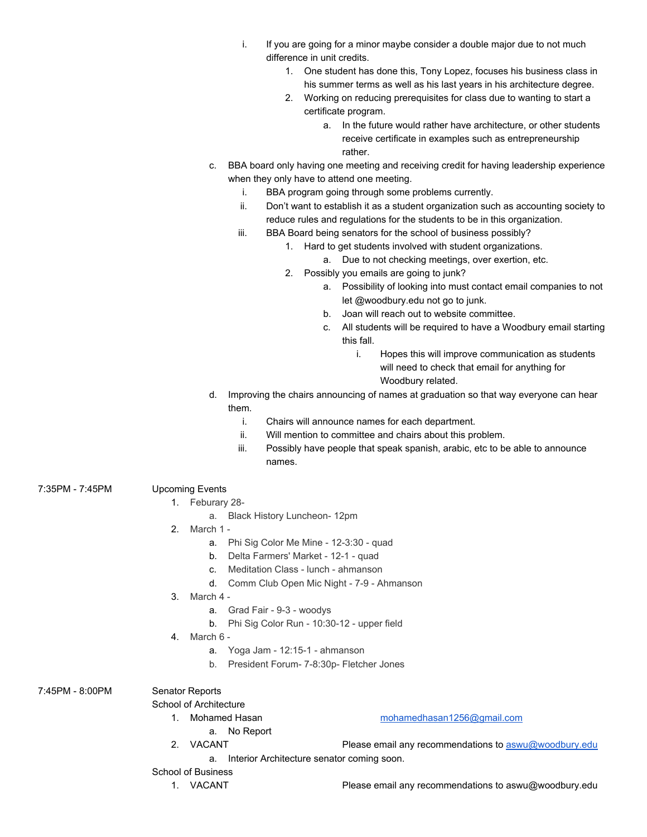- i. If you are going for a minor maybe consider a double major due to not much difference in unit credits.
	- 1. One student has done this, Tony Lopez, focuses his business class in his summer terms as well as his last years in his architecture degree.
	- 2. Working on reducing prerequisites for class due to wanting to start a certificate program.
		- a. In the future would rather have architecture, or other students receive certificate in examples such as entrepreneurship rather.
- c. BBA board only having one meeting and receiving credit for having leadership experience when they only have to attend one meeting.
	- i. BBA program going through some problems currently.
	- ii. Don't want to establish it as a student organization such as accounting society to reduce rules and regulations for the students to be in this organization.
	- iii. BBA Board being senators for the school of business possibly?
		- 1. Hard to get students involved with student organizations.
			- a. Due to not checking meetings, over exertion, etc.
		- 2. Possibly you emails are going to junk?
			- a. Possibility of looking into must contact email companies to not let @woodbury.edu not go to junk.
			- b. Joan will reach out to website committee.
			- c. All students will be required to have a Woodbury email starting this fall.
				- i. Hopes this will improve communication as students will need to check that email for anything for Woodbury related.
- d. Improving the chairs announcing of names at graduation so that way everyone can hear them.
	- i. Chairs will announce names for each department.
	- ii. Will mention to committee and chairs about this problem.
	- iii. Possibly have people that speak spanish, arabic, etc to be able to announce names.
- 7:35PM 7:45PM Upcoming Events
	- 1. Feburary 28
		- a. Black History Luncheon- 12pm
	- 2. March 1
		- a. Phi Sig Color Me Mine 12-3:30 quad
		- b. Delta Farmers' Market 12-1 quad
		- c. Meditation Class lunch ahmanson
		- d. Comm Club Open Mic Night 7-9 Ahmanson
	- 3. March 4
		- a. Grad Fair 9-3 woodys
		- b. Phi Sig Color Run 10:30-12 upper field
	- 4. March 6
		- a. Yoga Jam 12:15-1 ahmanson
		- b. President Forum- 7-8:30p- Fletcher Jones

7:45PM - 8:00PM Senator Reports

School of Architecture

- - a. No Report
	- 1. Mohamed Hasan [mohamedhasan1256@gmail.com](mailto:mohamedhasan1256@gmail.com)
		-
	- 2. VACANT Please email any recommendations to [aswu@woodbury.edu](mailto:aswu@woodbury.edu)
		- a. Interior Architecture senator coming soon.
- School of Business
	-

1. VACANT Please email any recommendations to aswu@woodbury.edu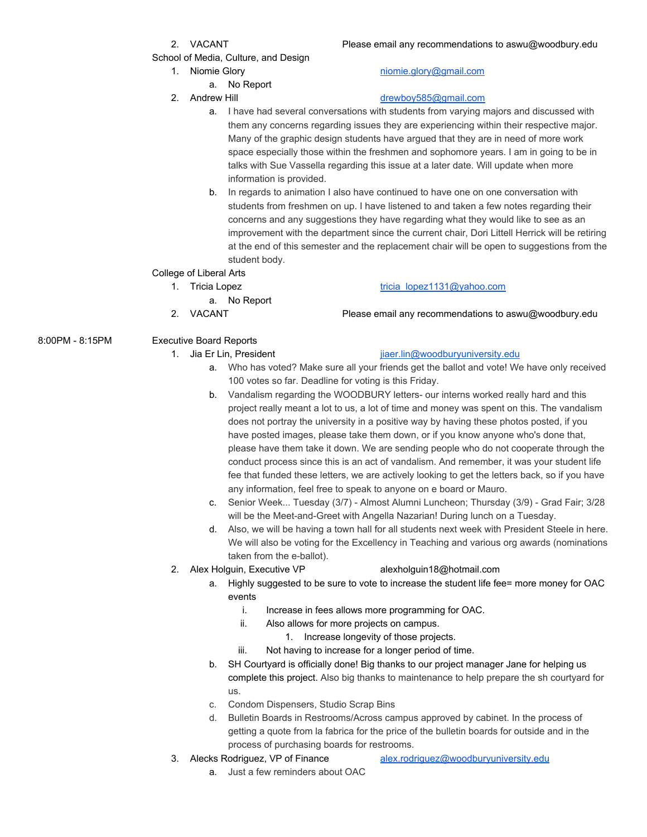School of Media, Culture, and Design

2. VACANT Please email any recommendations to aswu@woodbury.edu

### 1. Niomie Glory [niomie.glory@gmail.com](mailto:niomie.glory@gmail.com)

# a. No Report

## 2. Andrew Hill and the community of the [drewboy585@gmail.com](mailto:drewboy585@gmail.com)

- a. I have had several conversations with students from varying majors and discussed with them any concerns regarding issues they are experiencing within their respective major. Many of the graphic design students have argued that they are in need of more work space especially those within the freshmen and sophomore years. I am in going to be in talks with Sue Vassella regarding this issue at a later date. Will update when more information is provided.
- b. In regards to animation I also have continued to have one on one conversation with students from freshmen on up. I have listened to and taken a few notes regarding their concerns and any suggestions they have regarding what they would like to see as an improvement with the department since the current chair, Dori Littell Herrick will be retiring at the end of this semester and the replacement chair will be open to suggestions from the student body.

## College of Liberal Arts

- 1. Tricia Lopez tricia lopez1131@yahoo.com
	- a. No Report
- 

# 8:00PM - 8:15PM Executive Board Reports

## 1. Jia Er Lin, President in the state is a proportional [jiaer.lin@woodburyuniversity.edu](mailto:jiaer.lin@woodburyuniversity.edu)

- a. Who has voted? Make sure all your friends get the ballot and vote! We have only received 100 votes so far. Deadline for voting is this Friday.
- b. Vandalism regarding the WOODBURY letters- our interns worked really hard and this project really meant a lot to us, a lot of time and money was spent on this. The vandalism does not portray the university in a positive way by having these photos posted, if you have posted images, please take them down, or if you know anyone who's done that, please have them take it down. We are sending people who do not cooperate through the conduct process since this is an act of vandalism. And remember, it was your student life fee that funded these letters, we are actively looking to get the letters back, so if you have any information, feel free to speak to anyone on e board or Mauro.
- c. Senior Week... Tuesday (3/7) Almost Alumni Luncheon; Thursday (3/9) Grad Fair; 3/28 will be the Meet-and-Greet with Angella Nazarian! During lunch on a Tuesday.
- d. Also, we will be having a town hall for all students next week with President Steele in here. We will also be voting for the Excellency in Teaching and various org awards (nominations taken from the e-ballot).
- 2. Alex Holguin, Executive VP alexholguin18@hotmail.com

- a. Highly suggested to be sure to vote to increase the student life fee= more money for OAC events
	- i. Increase in fees allows more programming for OAC.
	- ii. Also allows for more projects on campus.
		- 1. Increase longevity of those projects.
	- iii. Not having to increase for a longer period of time.
- b. SH Courtyard is officially done! Big thanks to our project manager Jane for helping us complete this project. Also big thanks to maintenance to help prepare the sh courtyard for us.
- c. Condom Dispensers, Studio Scrap Bins
- d. Bulletin Boards in Restrooms/Across campus approved by cabinet. In the process of getting a quote from la fabrica for the price of the bulletin boards for outside and in the process of purchasing boards for restrooms.
- 
- 3. Alecks Rodriguez, VP of Finance [alex.rodriguez@woodburyuniversity.edu](mailto:alex.rodriguez@woodburyuniversity.edu)
	- a. Just a few reminders about OAC

2. VACANT Please email any recommendations to aswu@woodbury.edu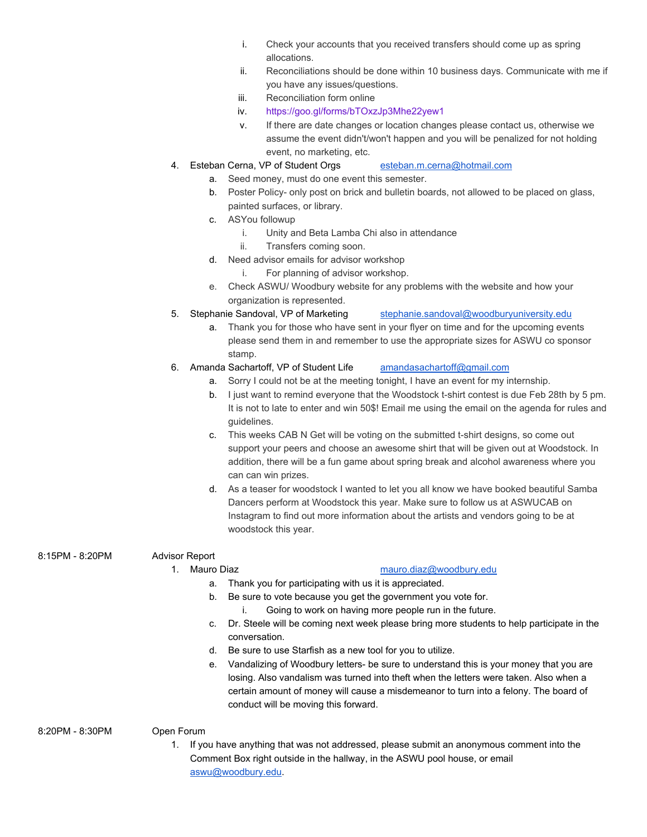- i. Check your accounts that you received transfers should come up as spring allocations.
- ii. Reconciliations should be done within 10 business days. Communicate with me if you have any issues/questions.
- iii. Reconciliation form online
- iv. <https://goo.gl/forms/bTOxzJp3Mhe22yew1>
- v. If there are date changes or location changes please contact us, otherwise we assume the event didn't/won't happen and you will be penalized for not holding event, no marketing, etc.
- 4. Esteban Cerna, VP of Student Orgs [esteban.m.cerna@hotmail.com](mailto:esteban.m.cerna@hotmail.com)
	- a. Seed money, must do one event this semester.
	- b. Poster Policy- only post on brick and bulletin boards, not allowed to be placed on glass, painted surfaces, or library.
	- c. ASYou followup
		- i. Unity and Beta Lamba Chi also in attendance
		- ii. Transfers coming soon.
	- d. Need advisor emails for advisor workshop
		- i. For planning of advisor workshop.
	- e. Check ASWU/ Woodbury website for any problems with the website and how your organization is represented.
- 5. Stephanie Sandoval, VP of Marketing [stephanie.sandoval@woodburyuniversity.edu](mailto:stephanie.sandoval@woodburyuniversity.edu)
	- a. Thank you for those who have sent in your flyer on time and for the upcoming events please send them in and remember to use the appropriate sizes for ASWU co sponsor stamp.
- 6. Amanda Sachartoff, VP of Student Life [amandasachartoff@gmail.com](mailto:amandasachartoff@gmail.com)
	- a. Sorry I could not be at the meeting tonight, I have an event for my internship.
	- b. I just want to remind everyone that the Woodstock t-shirt contest is due Feb 28th by 5 pm. It is not to late to enter and win 50\$! Email me using the email on the agenda for rules and guidelines.
	- c. This weeks CAB N Get will be voting on the submitted t-shirt designs, so come out support your peers and choose an awesome shirt that will be given out at Woodstock. In addition, there will be a fun game about spring break and alcohol awareness where you can can win prizes.
	- d. As a teaser for woodstock I wanted to let you all know we have booked beautiful Samba Dancers perform at Woodstock this year. Make sure to follow us at ASWUCAB on Instagram to find out more information about the artists and vendors going to be at woodstock this year.

### 8:15PM - 8:20PM Advisor Report

### 1. Mauro Diaz [mauro.diaz@woodbury.edu](mailto:mauro.diaz@woodbury.edu)

- a. Thank you for participating with us it is appreciated.
- b. Be sure to vote because you get the government you vote for.
	- i. Going to work on having more people run in the future.
- c. Dr. Steele will be coming next week please bring more students to help participate in the conversation.
- d. Be sure to use Starfish as a new tool for you to utilize.
- e. Vandalizing of Woodbury letters- be sure to understand this is your money that you are losing. Also vandalism was turned into theft when the letters were taken. Also when a certain amount of money will cause a misdemeanor to turn into a felony. The board of conduct will be moving this forward.
- 8:20PM 8:30PM Open Forum
	- - 1. If you have anything that was not addressed, please submit an anonymous comment into the Comment Box right outside in the hallway, in the ASWU pool house, or email [aswu@woodbury.edu.](mailto:aswu@woodbury.edu)